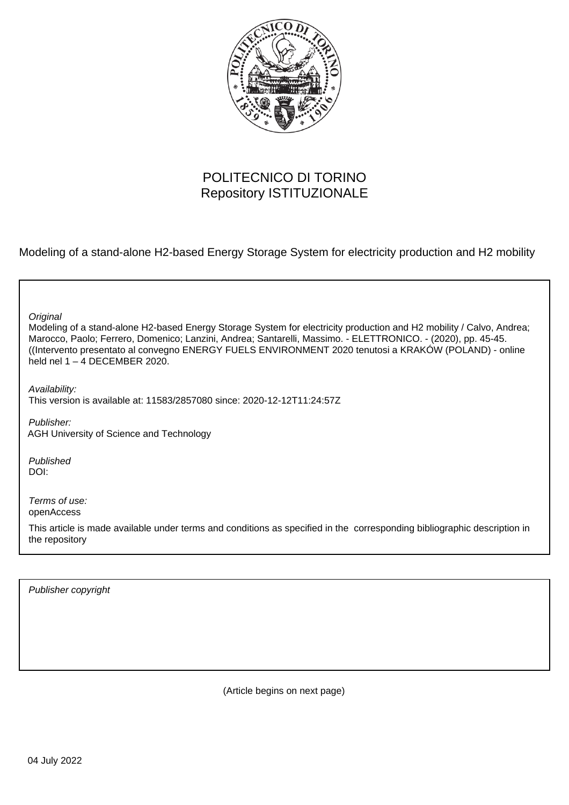

## POLITECNICO DI TORINO Repository ISTITUZIONALE

Modeling of a stand-alone H2-based Energy Storage System for electricity production and H2 mobility

Modeling of a stand-alone H2-based Energy Storage System for electricity production and H2 mobility / Calvo, Andrea; Marocco, Paolo; Ferrero, Domenico; Lanzini, Andrea; Santarelli, Massimo. - ELETTRONICO. - (2020), pp. 45-45. ((Intervento presentato al convegno ENERGY FUELS ENVIRONMENT 2020 tenutosi a KRAKÓW (POLAND) - online held nel  $1 - 4$  DECEMBER 2020. **Original** Publisher: Published DOI: Terms of use: openAccess This article is made available under terms and conditions as specified in the corresponding bibliographic description in Availability: This version is available at: 11583/2857080 since: 2020-12-12T11:24:57Z AGH University of Science and Technology

Publisher copyright

the repository

(Article begins on next page)